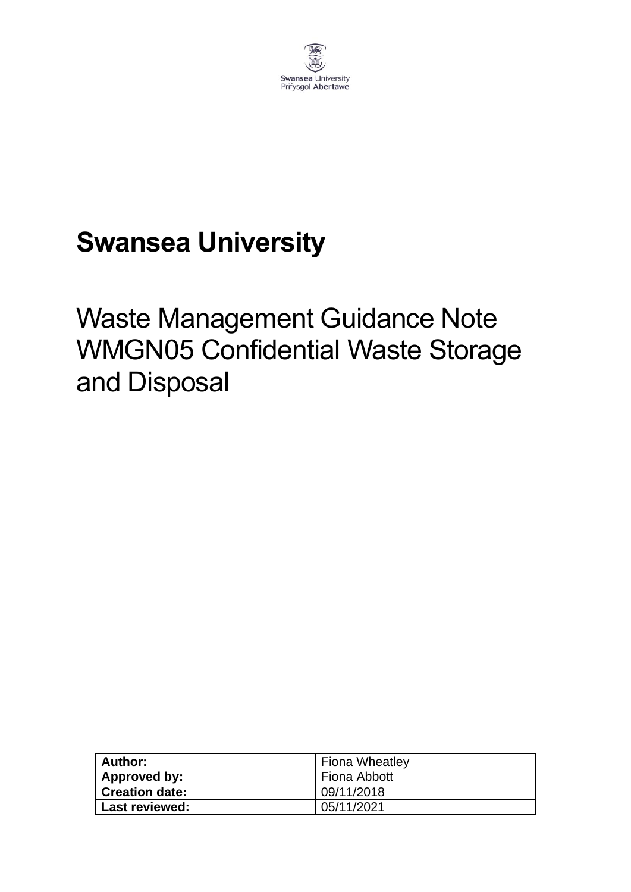

# **Swansea University**

# Waste Management Guidance Note WMGN05 Confidential Waste Storage and Disposal

| Author:               | <b>Fiona Wheatley</b> |
|-----------------------|-----------------------|
| Approved by:          | Fiona Abbott          |
| <b>Creation date:</b> | 09/11/2018            |
| Last reviewed:        | 05/11/2021            |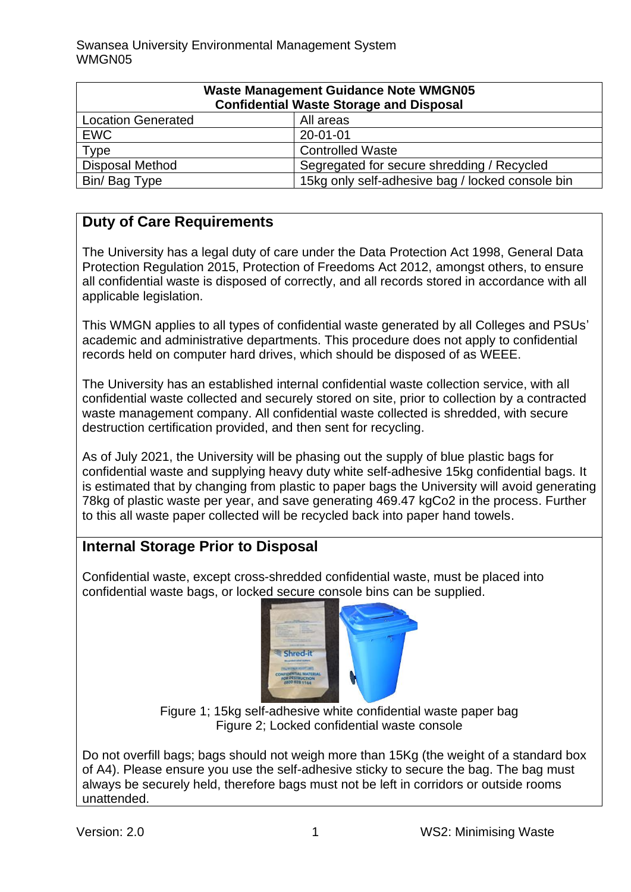| <b>Waste Management Guidance Note WMGN05</b><br><b>Confidential Waste Storage and Disposal</b> |                                                  |
|------------------------------------------------------------------------------------------------|--------------------------------------------------|
| <b>Location Generated</b>                                                                      | All areas                                        |
| <b>EWC</b>                                                                                     | $20 - 01 - 01$                                   |
| Type                                                                                           | <b>Controlled Waste</b>                          |
| <b>Disposal Method</b>                                                                         | Segregated for secure shredding / Recycled       |
| Bin/Bag Type                                                                                   | 15kg only self-adhesive bag / locked console bin |

# **Duty of Care Requirements**

The University has a legal duty of care under the Data Protection Act 1998, General Data Protection Regulation 2015, Protection of Freedoms Act 2012, amongst others, to ensure all confidential waste is disposed of correctly, and all records stored in accordance with all applicable legislation.

This WMGN applies to all types of confidential waste generated by all Colleges and PSUs' academic and administrative departments. This procedure does not apply to confidential records held on computer hard drives, which should be disposed of as WEEE.

The University has an established internal confidential waste collection service, with all confidential waste collected and securely stored on site, prior to collection by a contracted waste management company. All confidential waste collected is shredded, with secure destruction certification provided, and then sent for recycling.

As of July 2021, the University will be phasing out the supply of blue plastic bags for confidential waste and supplying heavy duty white self-adhesive 15kg confidential bags. It is estimated that by changing from plastic to paper bags the University will avoid generating 78kg of plastic waste per year, and save generating 469.47 kgCo2 in the process. Further to this all waste paper collected will be recycled back into paper hand towels.

# **Internal Storage Prior to Disposal**

Confidential waste, except cross-shredded confidential waste, must be placed into confidential waste bags, or locked secure console bins can be supplied.



Figure 1; 15kg self-adhesive white confidential waste paper bag Figure 2; Locked confidential waste console

Do not overfill bags; bags should not weigh more than 15Kg (the weight of a standard box of A4). Please ensure you use the self-adhesive sticky to secure the bag. The bag must always be securely held, therefore bags must not be left in corridors or outside rooms unattended.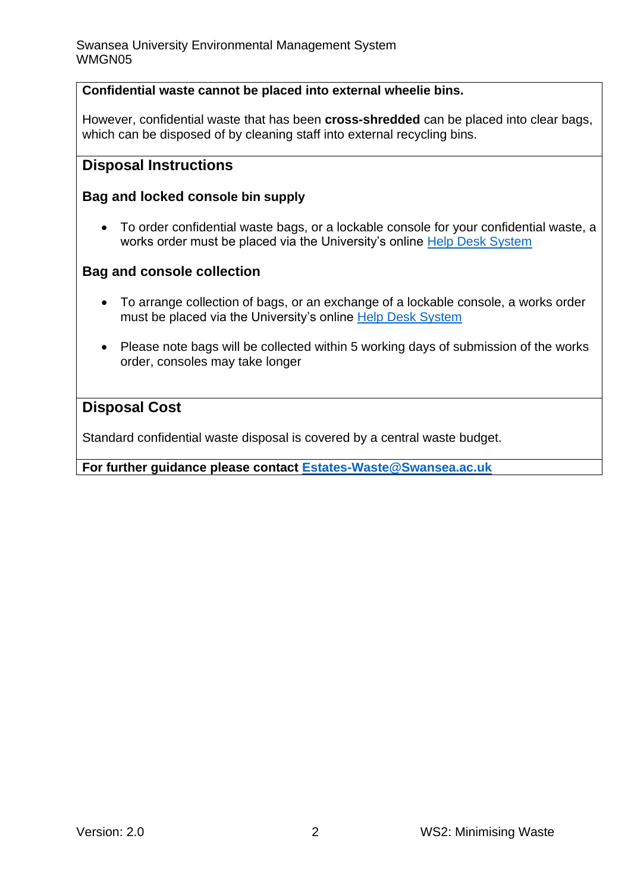#### **Confidential waste cannot be placed into external wheelie bins.**

However, confidential waste that has been **cross-shredded** can be placed into clear bags, which can be disposed of by cleaning staff into external recycling bins.

### **Disposal Instructions**

#### **Bag and locked console bin supply**

• To order confidential waste bags, or a lockable console for your confidential waste, a works order must be placed via the University's online [Help Desk System](https://quemis.swan.ac.uk/Q2_Live/login)

#### **Bag and console collection**

- To arrange collection of bags, or an exchange of a lockable console, a works order must be placed via the University's online [Help Desk System](https://quemis.swan.ac.uk/Q2_Live/login)
- Please note bags will be collected within 5 working days of submission of the works order, consoles may take longer

#### **Disposal Cost**

Standard confidential waste disposal is covered by a central waste budget.

**For further guidance please contact [Estates-Waste@Swansea.ac.uk](mailto:Estates-Waste@Swansea.ac.uk)**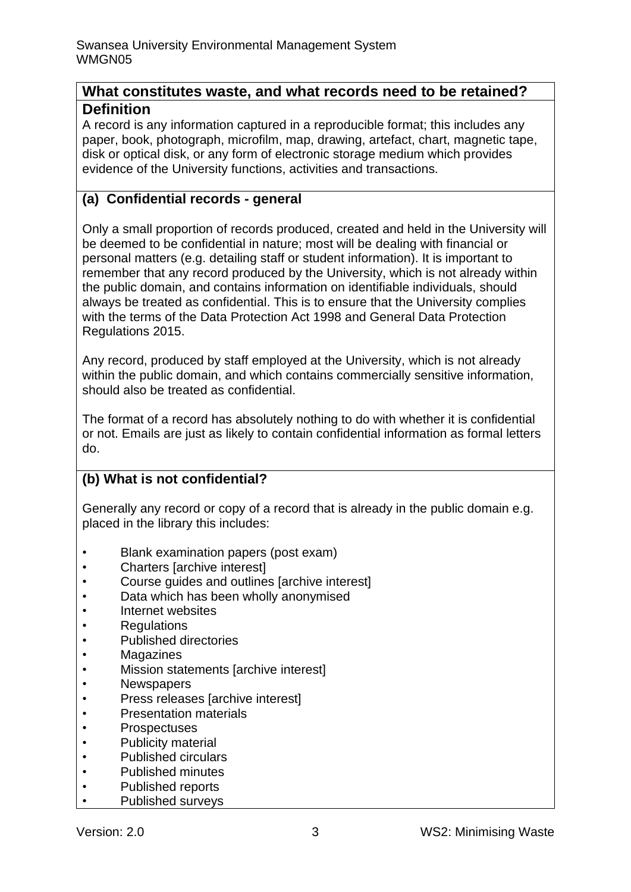### **What constitutes waste, and what records need to be retained? Definition**

A record is any information captured in a reproducible format; this includes any paper, book, photograph, microfilm, map, drawing, artefact, chart, magnetic tape, disk or optical disk, or any form of electronic storage medium which provides evidence of the University functions, activities and transactions.

## **(a) Confidential records - general**

Only a small proportion of records produced, created and held in the University will be deemed to be confidential in nature; most will be dealing with financial or personal matters (e.g. detailing staff or student information). It is important to remember that any record produced by the University, which is not already within the public domain, and contains information on identifiable individuals, should always be treated as confidential. This is to ensure that the University complies with the terms of the Data Protection Act 1998 and General Data Protection Regulations 2015.

Any record, produced by staff employed at the University, which is not already within the public domain, and which contains commercially sensitive information, should also be treated as confidential.

The format of a record has absolutely nothing to do with whether it is confidential or not. Emails are just as likely to contain confidential information as formal letters do.

## **(b) What is not confidential?**

Generally any record or copy of a record that is already in the public domain e.g. placed in the library this includes:

- Blank examination papers (post exam)
- Charters [archive interest]
- Course guides and outlines [archive interest]
- Data which has been wholly anonymised
- Internet websites
- Regulations
- Published directories
- Magazines
- Mission statements [archive interest]
- Newspapers
- Press releases [archive interest]
- Presentation materials
- Prospectuses
- Publicity material
- Published circulars
- Published minutes
- Published reports
- Published surveys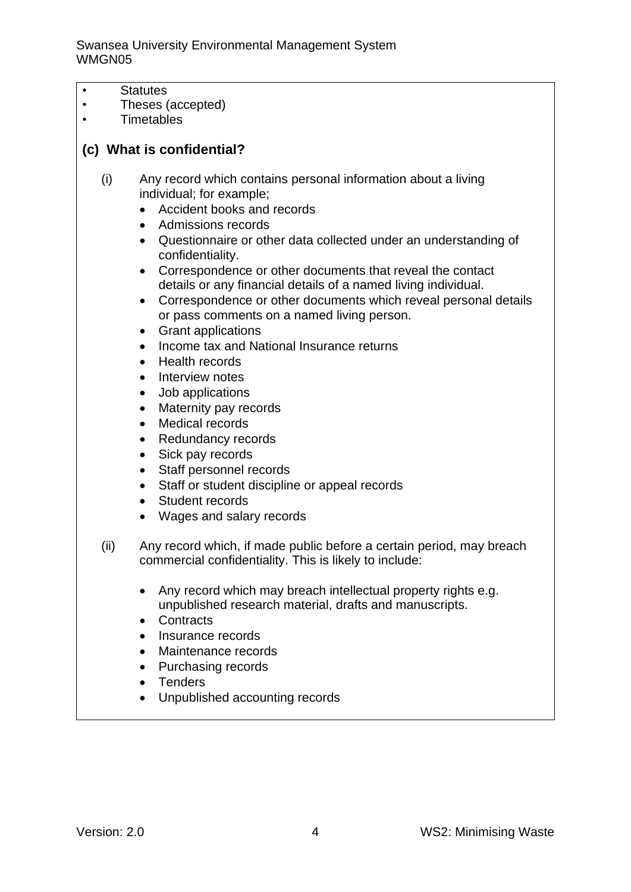Swansea University Environmental Management System WMGN05

- Statutes
- Theses (accepted)
- Timetables

#### **(c) What is confidential?**

- (i) Any record which contains personal information about a living individual; for example;
	- Accident books and records
	- Admissions records
	- Questionnaire or other data collected under an understanding of confidentiality.
	- Correspondence or other documents that reveal the contact details or any financial details of a named living individual.
	- Correspondence or other documents which reveal personal details or pass comments on a named living person.
	- Grant applications
	- Income tax and National Insurance returns
	- Health records
	- Interview notes
	- Job applications
	- Maternity pay records
	- Medical records
	- Redundancy records
	- Sick pay records
	- Staff personnel records
	- Staff or student discipline or appeal records
	- Student records
	- Wages and salary records
- (ii) Any record which, if made public before a certain period, may breach commercial confidentiality. This is likely to include:
	- Any record which may breach intellectual property rights e.g. unpublished research material, drafts and manuscripts.
	- Contracts
	- Insurance records
	- Maintenance records
	- Purchasing records
	- Tenders
	- Unpublished accounting records